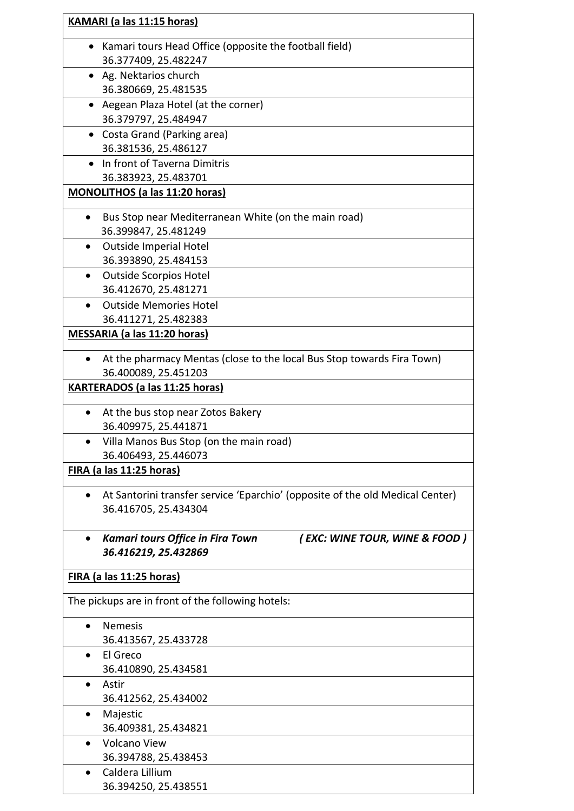| KAMARI (a las 11:15 horas)            |                                                                               |  |
|---------------------------------------|-------------------------------------------------------------------------------|--|
|                                       | • Kamari tours Head Office (opposite the football field)                      |  |
|                                       | 36.377409, 25.482247                                                          |  |
|                                       | • Ag. Nektarios church                                                        |  |
|                                       | 36.380669, 25.481535                                                          |  |
|                                       | • Aegean Plaza Hotel (at the corner)                                          |  |
|                                       | 36.379797, 25.484947                                                          |  |
| $\bullet$                             | Costa Grand (Parking area)<br>36.381536, 25.486127                            |  |
|                                       | • In front of Taverna Dimitris                                                |  |
|                                       | 36.383923, 25.483701                                                          |  |
| <b>MONOLITHOS (a las 11:20 horas)</b> |                                                                               |  |
|                                       | Bus Stop near Mediterranean White (on the main road)                          |  |
|                                       | 36.399847, 25.481249                                                          |  |
|                                       | <b>Outside Imperial Hotel</b>                                                 |  |
|                                       | 36.393890, 25.484153                                                          |  |
|                                       | <b>Outside Scorpios Hotel</b>                                                 |  |
|                                       | 36.412670, 25.481271                                                          |  |
|                                       | <b>Outside Memories Hotel</b>                                                 |  |
|                                       | 36.411271, 25.482383                                                          |  |
|                                       | MESSARIA (a las 11:20 horas)                                                  |  |
| $\bullet$                             | At the pharmacy Mentas (close to the local Bus Stop towards Fira Town)        |  |
|                                       | 36.400089, 25.451203                                                          |  |
|                                       | <b>KARTERADOS (a las 11:25 horas)</b>                                         |  |
|                                       | At the bus stop near Zotos Bakery                                             |  |
|                                       | 36.409975, 25.441871                                                          |  |
|                                       | Villa Manos Bus Stop (on the main road)                                       |  |
|                                       | 36.406493, 25.446073                                                          |  |
| FIRA (a las 11:25 horas)              |                                                                               |  |
|                                       | At Santorini transfer service 'Eparchio' (opposite of the old Medical Center) |  |
|                                       | 36.416705, 25.434304                                                          |  |
|                                       | (EXC: WINE TOUR, WINE & FOOD)<br><b>Kamari tours Office in Fira Town</b>      |  |
|                                       | 36.416219, 25.432869                                                          |  |
| <u>FIRA (a las 11:25 horas)</u>       |                                                                               |  |
|                                       | The pickups are in front of the following hotels:                             |  |
|                                       | <b>Nemesis</b>                                                                |  |
|                                       | 36.413567, 25.433728                                                          |  |
| $\bullet$                             | El Greco                                                                      |  |
|                                       | 36.410890, 25.434581                                                          |  |
| $\bullet$                             | Astir                                                                         |  |
|                                       | 36.412562, 25.434002                                                          |  |
|                                       | Majestic                                                                      |  |
|                                       | 36.409381, 25.434821                                                          |  |
|                                       | <b>Volcano View</b>                                                           |  |
|                                       | 36.394788, 25.438453<br>Caldera Lillium                                       |  |
|                                       | 36.394250, 25.438551                                                          |  |
|                                       |                                                                               |  |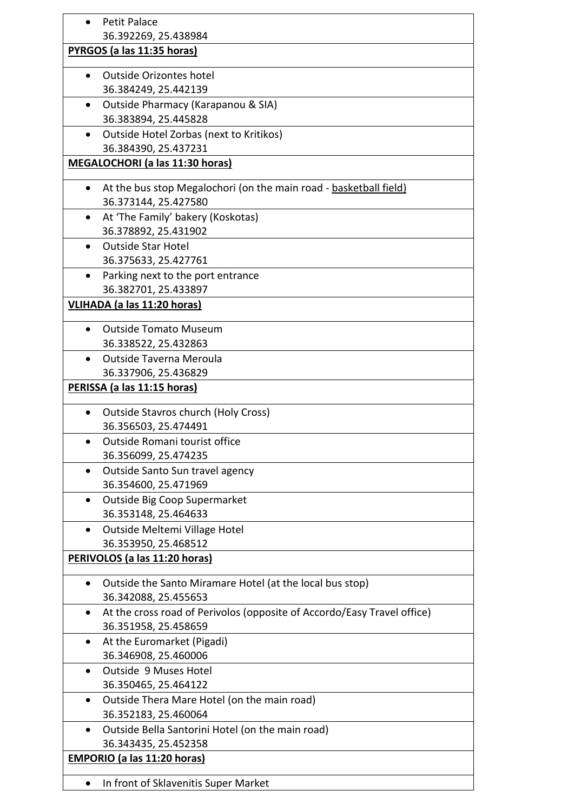|                                    | <b>Petit Palace</b>                                                     |  |
|------------------------------------|-------------------------------------------------------------------------|--|
|                                    | 36.392269, 25.438984                                                    |  |
|                                    | PYRGOS (a las 11:35 horas)                                              |  |
|                                    | Outside Orizontes hotel                                                 |  |
|                                    | 36.384249, 25.442139                                                    |  |
| $\bullet$                          | Outside Pharmacy (Karapanou & SIA)                                      |  |
|                                    | 36.383894, 25.445828                                                    |  |
| ٠                                  | Outside Hotel Zorbas (next to Kritikos)                                 |  |
|                                    | 36.384390, 25.437231                                                    |  |
|                                    | <b>MEGALOCHORI (a las 11:30 horas)</b>                                  |  |
|                                    |                                                                         |  |
| ٠                                  | At the bus stop Megalochori (on the main road - basketball field)       |  |
|                                    | 36.373144, 25.427580                                                    |  |
| $\bullet$                          | At 'The Family' bakery (Koskotas)                                       |  |
|                                    | 36.378892, 25.431902                                                    |  |
| $\bullet$                          | <b>Outside Star Hotel</b>                                               |  |
|                                    | 36.375633, 25.427761                                                    |  |
|                                    | Parking next to the port entrance                                       |  |
|                                    | 36.382701, 25.433897                                                    |  |
| VLIHADA (a las 11:20 horas)        |                                                                         |  |
|                                    | <b>Outside Tomato Museum</b>                                            |  |
|                                    | 36.338522, 25.432863                                                    |  |
|                                    | Outside Taverna Meroula                                                 |  |
|                                    | 36.337906, 25.436829                                                    |  |
|                                    | PERISSA (a las 11:15 horas)                                             |  |
| ٠                                  | <b>Outside Stavros church (Holy Cross)</b>                              |  |
|                                    | 36.356503, 25.474491                                                    |  |
|                                    | Outside Romani tourist office                                           |  |
|                                    | 36.356099, 25.474235                                                    |  |
| $\bullet$                          | Outside Santo Sun travel agency                                         |  |
|                                    | 36.354600, 25.471969                                                    |  |
| $\bullet$                          | Outside Big Coop Supermarket                                            |  |
|                                    | 36.353148, 25.464633                                                    |  |
| $\bullet$                          | Outside Meltemi Village Hotel                                           |  |
|                                    | 36.353950, 25.468512                                                    |  |
|                                    | PERIVOLOS (a las 11:20 horas)                                           |  |
|                                    | Outside the Santo Miramare Hotel (at the local bus stop)                |  |
|                                    | 36.342088, 25.455653                                                    |  |
| $\bullet$                          | At the cross road of Perivolos (opposite of Accordo/Easy Travel office) |  |
|                                    | 36.351958, 25.458659                                                    |  |
| $\bullet$                          | At the Euromarket (Pigadi)                                              |  |
|                                    | 36.346908, 25.460006                                                    |  |
| $\bullet$                          | Outside 9 Muses Hotel                                                   |  |
|                                    | 36.350465, 25.464122                                                    |  |
| $\bullet$                          | Outside Thera Mare Hotel (on the main road)                             |  |
|                                    | 36.352183, 25.460064                                                    |  |
|                                    | Outside Bella Santorini Hotel (on the main road)                        |  |
|                                    | 36.343435, 25.452358                                                    |  |
| <b>EMPORIO (a las 11:20 horas)</b> |                                                                         |  |
|                                    |                                                                         |  |
|                                    | In front of Sklavenitis Super Market                                    |  |